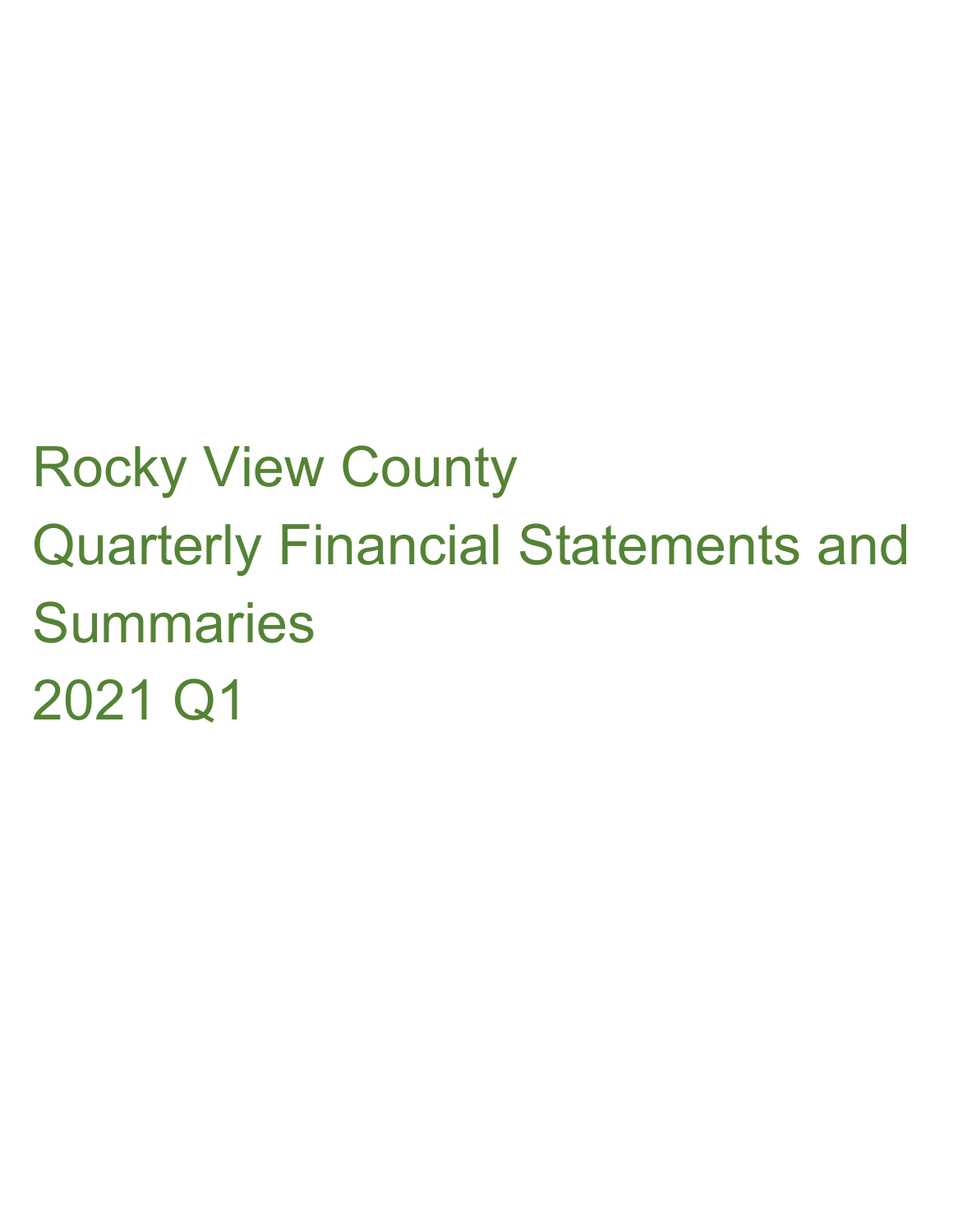# Rocky View County Quarterly Financial Statements and **Summaries** 2021 Q1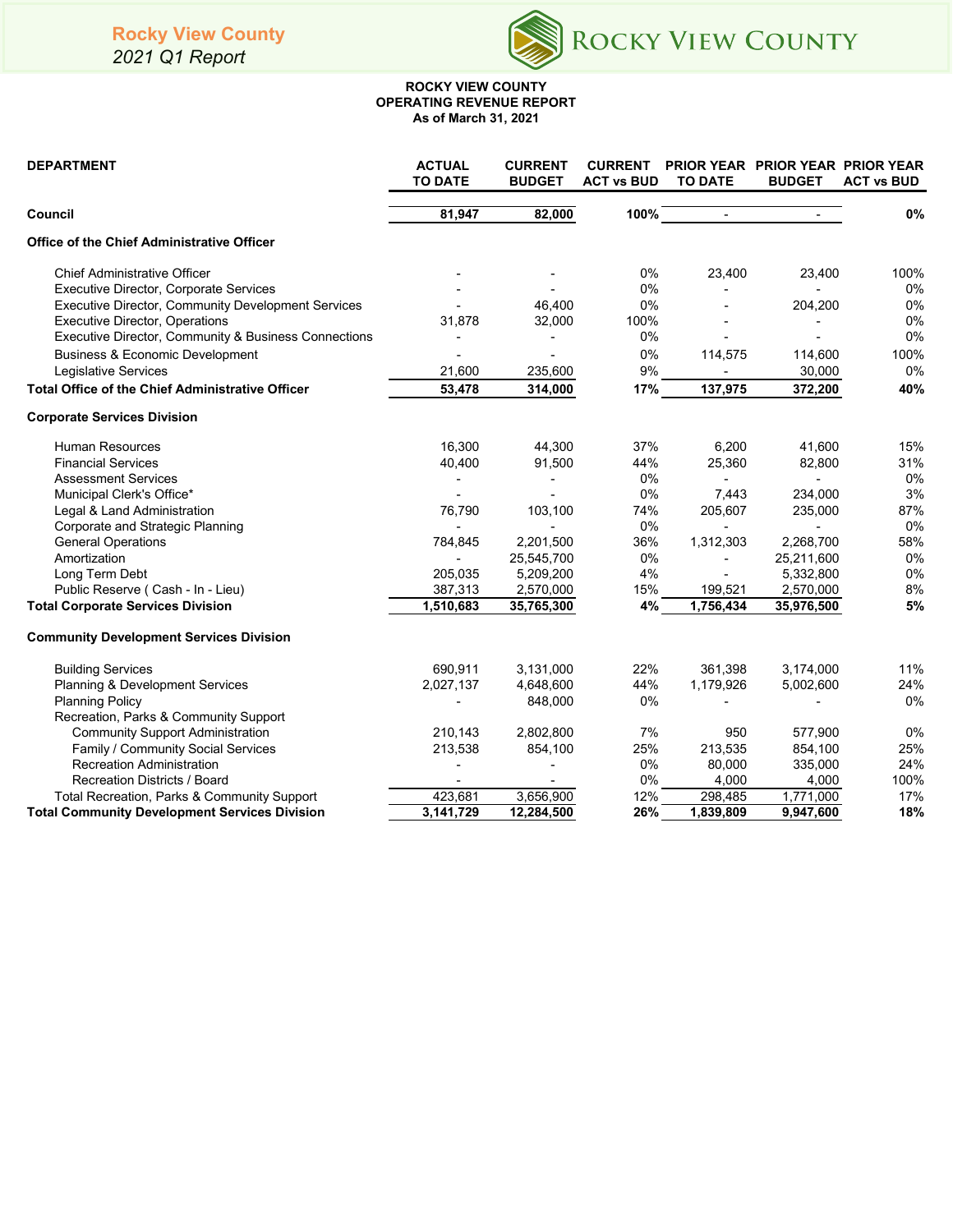*2021 Q1 Report*



#### **ROCKY VIEW COUNTY OPERATING REVENUE REPORT As of March 31, 2021**

| <b>DEPARTMENT</b>                                       | <b>ACTUAL</b><br><b>TO DATE</b> | <b>CURRENT</b><br><b>BUDGET</b> | <b>CURRENT</b><br><b>ACT vs BUD</b> | <b>TO DATE</b>           | <b>PRIOR YEAR PRIOR YEAR PRIOR YEAR</b><br><b>BUDGET</b> | <b>ACT vs BUD</b> |
|---------------------------------------------------------|---------------------------------|---------------------------------|-------------------------------------|--------------------------|----------------------------------------------------------|-------------------|
| Council                                                 | 81,947                          | 82,000                          | 100%                                |                          |                                                          | 0%                |
| <b>Office of the Chief Administrative Officer</b>       |                                 |                                 |                                     |                          |                                                          |                   |
| <b>Chief Administrative Officer</b>                     |                                 |                                 | 0%                                  | 23,400                   | 23,400                                                   | 100%              |
| Executive Director, Corporate Services                  |                                 |                                 | 0%                                  |                          |                                                          | 0%                |
| Executive Director, Community Development Services      |                                 | 46,400                          | 0%                                  |                          | 204,200                                                  | 0%                |
| <b>Executive Director, Operations</b>                   | 31,878                          | 32,000                          | 100%                                |                          |                                                          | 0%                |
| Executive Director, Community & Business Connections    |                                 | ÷,                              | 0%                                  |                          |                                                          | 0%                |
| <b>Business &amp; Economic Development</b>              |                                 |                                 | 0%                                  | 114,575                  | 114,600                                                  | 100%              |
| Legislative Services                                    | 21,600                          | 235,600                         | 9%                                  |                          | 30,000                                                   | 0%                |
| <b>Total Office of the Chief Administrative Officer</b> | 53,478                          | 314,000                         | 17%                                 | 137,975                  | 372,200                                                  | 40%               |
| <b>Corporate Services Division</b>                      |                                 |                                 |                                     |                          |                                                          |                   |
| <b>Human Resources</b>                                  | 16,300                          | 44,300                          | 37%                                 | 6,200                    | 41,600                                                   | 15%               |
| <b>Financial Services</b>                               | 40,400                          | 91,500                          | 44%                                 | 25,360                   | 82,800                                                   | 31%               |
| <b>Assessment Services</b>                              | $\blacksquare$                  | $\overline{\phantom{a}}$        | 0%                                  |                          | $\blacksquare$                                           | 0%                |
| Municipal Clerk's Office*                               |                                 |                                 | 0%                                  | 7,443                    | 234,000                                                  | 3%                |
| Legal & Land Administration                             | 76,790                          | 103,100                         | 74%                                 | 205,607                  | 235,000                                                  | 87%               |
| Corporate and Strategic Planning                        |                                 |                                 | 0%                                  | $\overline{\phantom{a}}$ | $\blacksquare$                                           | 0%                |
| <b>General Operations</b>                               | 784,845                         | 2,201,500                       | 36%                                 | 1,312,303                | 2,268,700                                                | 58%               |
| Amortization                                            |                                 | 25,545,700                      | 0%                                  |                          | 25,211,600                                               | 0%                |
| Long Term Debt                                          | 205,035                         | 5,209,200                       | 4%                                  |                          | 5,332,800                                                | 0%                |
| Public Reserve (Cash - In - Lieu)                       | 387,313                         | 2,570,000                       | 15%                                 | 199,521                  | 2,570,000                                                | 8%                |
| <b>Total Corporate Services Division</b>                | 1,510,683                       | 35,765,300                      | 4%                                  | 1,756,434                | 35,976,500                                               | 5%                |
| <b>Community Development Services Division</b>          |                                 |                                 |                                     |                          |                                                          |                   |
| <b>Building Services</b>                                | 690,911                         | 3,131,000                       | 22%                                 | 361,398                  | 3,174,000                                                | 11%               |
| Planning & Development Services                         | 2,027,137                       | 4,648,600                       | 44%                                 | 1,179,926                | 5,002,600                                                | 24%               |
| <b>Planning Policy</b>                                  |                                 | 848,000                         | 0%                                  |                          |                                                          | 0%                |
| Recreation, Parks & Community Support                   |                                 |                                 |                                     |                          |                                                          |                   |
| <b>Community Support Administration</b>                 | 210,143                         | 2,802,800                       | 7%                                  | 950                      | 577,900                                                  | 0%                |
| Family / Community Social Services                      | 213,538                         | 854,100                         | 25%                                 | 213,535                  | 854,100                                                  | 25%               |
| <b>Recreation Administration</b>                        |                                 |                                 | 0%                                  | 80,000                   | 335,000                                                  | 24%               |
| <b>Recreation Districts / Board</b>                     |                                 |                                 | $0\%$                               | 4,000                    | 4,000                                                    | 100%              |
| Total Recreation, Parks & Community Support             | 423,681                         | 3,656,900                       | 12%                                 | 298,485                  | 1,771,000                                                | 17%               |
| <b>Total Community Development Services Division</b>    | 3,141,729                       | 12,284,500                      | 26%                                 | 1,839,809                | 9,947,600                                                | 18%               |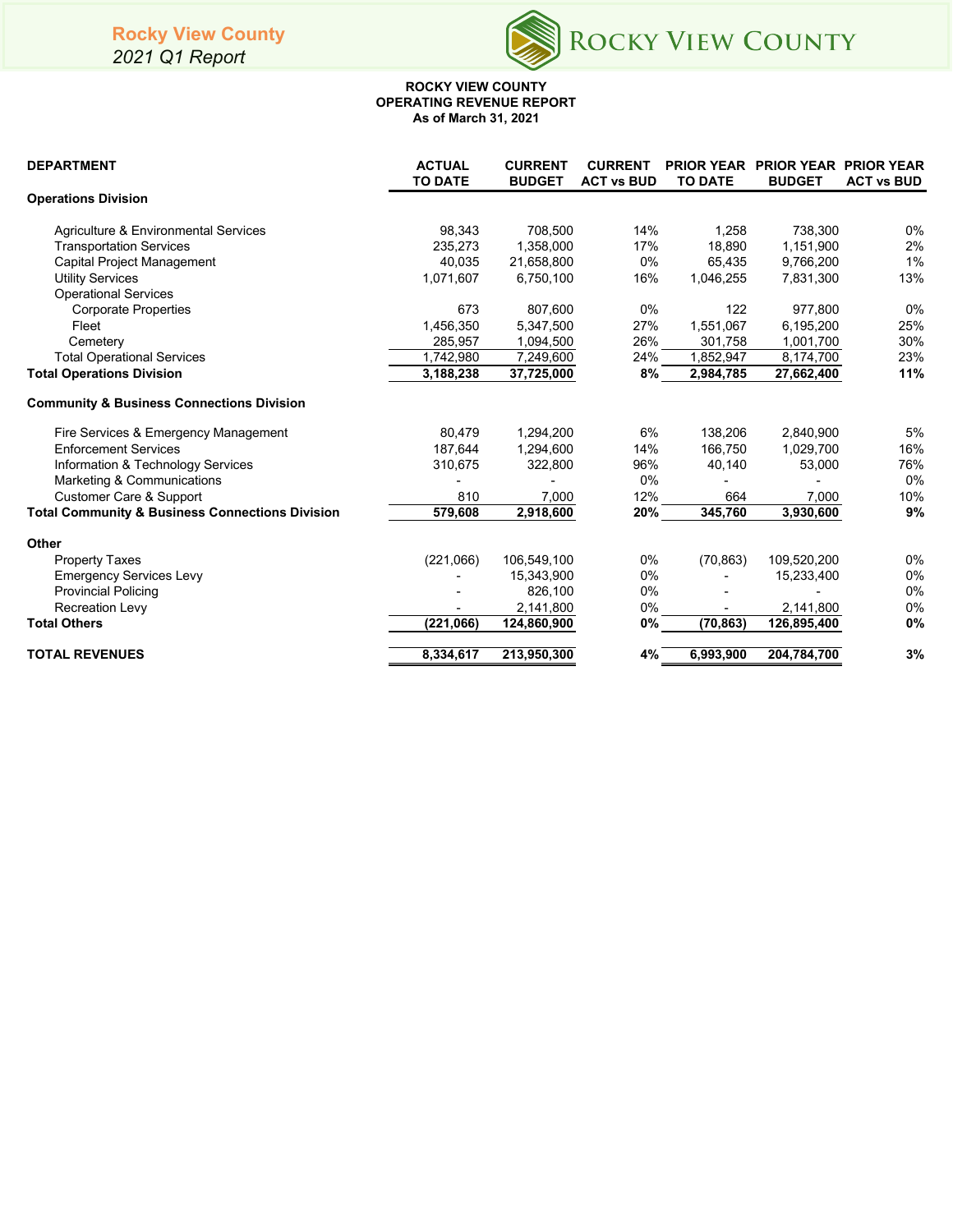## **Rocky View County**

*2021 Q1 Report*



#### **ROCKY VIEW COUNTY OPERATING REVENUE REPORT As of March 31, 2021**

| <b>DEPARTMENT</b>                                          | <b>ACTUAL</b><br><b>TO DATE</b> | <b>CURRENT</b><br><b>BUDGET</b> | <b>CURRENT</b><br><b>ACT vs BUD</b> | <b>TO DATE</b> | PRIOR YEAR PRIOR YEAR PRIOR YEAR<br><b>BUDGET</b> | <b>ACT vs BUD</b> |
|------------------------------------------------------------|---------------------------------|---------------------------------|-------------------------------------|----------------|---------------------------------------------------|-------------------|
| <b>Operations Division</b>                                 |                                 |                                 |                                     |                |                                                   |                   |
| <b>Agriculture &amp; Environmental Services</b>            | 98,343                          | 708,500                         | 14%                                 | 1,258          | 738,300                                           | $0\%$             |
| <b>Transportation Services</b>                             | 235,273                         | 1,358,000                       | 17%                                 | 18,890         | 1,151,900                                         | 2%                |
| Capital Project Management                                 | 40,035                          | 21,658,800                      | 0%                                  | 65,435         | 9,766,200                                         | 1%                |
| <b>Utility Services</b>                                    | 1,071,607                       | 6,750,100                       | 16%                                 | 1,046,255      | 7,831,300                                         | 13%               |
| <b>Operational Services</b>                                |                                 |                                 |                                     |                |                                                   |                   |
| <b>Corporate Properties</b>                                | 673                             | 807,600                         | 0%                                  | 122            | 977,800                                           | $0\%$             |
| Fleet                                                      | 1,456,350                       | 5,347,500                       | 27%                                 | 1,551,067      | 6,195,200                                         | 25%               |
| Cemetery                                                   | 285,957                         | 1,094,500                       | 26%                                 | 301,758        | 1,001,700                                         | 30%               |
| <b>Total Operational Services</b>                          | 1,742,980                       | 7,249,600                       | 24%                                 | 1,852,947      | 8,174,700                                         | 23%               |
| <b>Total Operations Division</b>                           | 3,188,238                       | 37,725,000                      | 8%                                  | 2,984,785      | 27,662,400                                        | 11%               |
| <b>Community &amp; Business Connections Division</b>       |                                 |                                 |                                     |                |                                                   |                   |
| Fire Services & Emergency Management                       | 80,479                          | 1,294,200                       | 6%                                  | 138,206        | 2,840,900                                         | 5%                |
| <b>Enforcement Services</b>                                | 187,644                         | 1,294,600                       | 14%                                 | 166,750        | 1,029,700                                         | 16%               |
| Information & Technology Services                          | 310,675                         | 322,800                         | 96%                                 | 40,140         | 53,000                                            | 76%               |
| Marketing & Communications                                 |                                 |                                 | 0%                                  |                |                                                   | $0\%$             |
| Customer Care & Support                                    | 810                             | 7,000                           | 12%                                 | 664            | 7,000                                             | 10%               |
| <b>Total Community &amp; Business Connections Division</b> | 579,608                         | 2,918,600                       | 20%                                 | 345,760        | 3,930,600                                         | 9%                |
| <b>Other</b>                                               |                                 |                                 |                                     |                |                                                   |                   |
| <b>Property Taxes</b>                                      | (221,066)                       | 106,549,100                     | 0%                                  | (70, 863)      | 109,520,200                                       | 0%                |
| <b>Emergency Services Levy</b>                             |                                 | 15,343,900                      | $0\%$                               |                | 15,233,400                                        | $0\%$             |
| <b>Provincial Policing</b>                                 |                                 | 826,100                         | $0\%$                               |                |                                                   | 0%                |
| <b>Recreation Levy</b>                                     |                                 | 2,141,800                       | 0%                                  |                | 2,141,800                                         | 0%                |
| <b>Total Others</b>                                        | (221,066)                       | 124,860,900                     | 0%                                  | (70, 863)      | 126,895,400                                       | 0%                |
| <b>TOTAL REVENUES</b>                                      | 8,334,617                       | 213,950,300                     | 4%                                  | 6,993,900      | 204,784,700                                       | 3%                |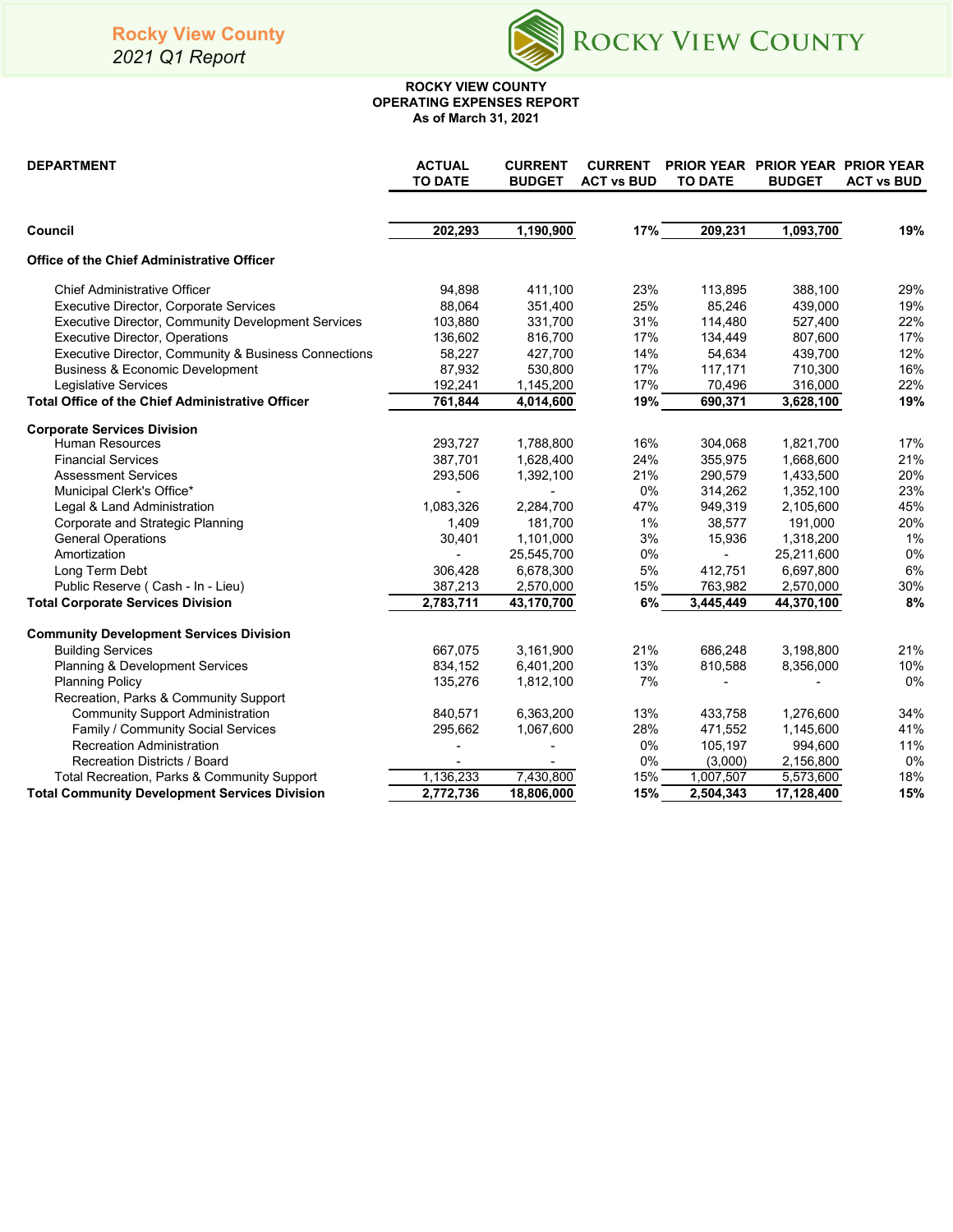*2021 Q1 Report*



#### **OPERATING EXPENSES REPORT As of March 31, 2021 ROCKY VIEW COUNTY**

| <b>DEPARTMENT</b>                                       | <b>ACTUAL</b><br><b>TO DATE</b> | <b>CURRENT</b><br><b>BUDGET</b> | <b>CURRENT</b><br><b>ACT vs BUD</b> | <b>TO DATE</b> | PRIOR YEAR PRIOR YEAR PRIOR YEAR<br><b>BUDGET</b> | <b>ACT vs BUD</b> |
|---------------------------------------------------------|---------------------------------|---------------------------------|-------------------------------------|----------------|---------------------------------------------------|-------------------|
| Council                                                 | 202,293                         | 1,190,900                       | 17%                                 | 209,231        | 1,093,700                                         | 19%               |
| <b>Office of the Chief Administrative Officer</b>       |                                 |                                 |                                     |                |                                                   |                   |
| <b>Chief Administrative Officer</b>                     | 94,898                          | 411,100                         | 23%                                 | 113,895        | 388,100                                           | 29%               |
| Executive Director, Corporate Services                  | 88,064                          | 351,400                         | 25%                                 | 85,246         | 439,000                                           | 19%               |
| Executive Director, Community Development Services      | 103,880                         | 331,700                         | 31%                                 | 114,480        | 527,400                                           | 22%               |
| Executive Director, Operations                          | 136,602                         | 816,700                         | 17%                                 | 134,449        | 807,600                                           | 17%               |
| Executive Director, Community & Business Connections    | 58,227                          | 427,700                         | 14%                                 | 54,634         | 439,700                                           | 12%               |
| <b>Business &amp; Economic Development</b>              | 87,932                          | 530,800                         | 17%                                 | 117,171        | 710,300                                           | 16%               |
| <b>Legislative Services</b>                             | 192,241                         | 1,145,200                       | 17%                                 | 70,496         | 316,000                                           | 22%               |
| <b>Total Office of the Chief Administrative Officer</b> | 761,844                         | 4,014,600                       | 19%                                 | 690,371        | 3,628,100                                         | 19%               |
| <b>Corporate Services Division</b>                      |                                 |                                 |                                     |                |                                                   |                   |
| <b>Human Resources</b>                                  | 293,727                         | 1,788,800                       | 16%                                 | 304,068        | 1,821,700                                         | 17%               |
| <b>Financial Services</b>                               | 387,701                         | 1,628,400                       | 24%                                 | 355,975        | 1,668,600                                         | 21%               |
| <b>Assessment Services</b>                              | 293,506                         | 1,392,100                       | 21%                                 | 290,579        | 1,433,500                                         | 20%               |
| Municipal Clerk's Office*                               |                                 |                                 | 0%                                  | 314,262        | 1,352,100                                         | 23%               |
| Legal & Land Administration                             | 1,083,326                       | 2,284,700                       | 47%                                 | 949,319        | 2,105,600                                         | 45%               |
| Corporate and Strategic Planning                        | 1,409                           | 181,700                         | 1%                                  | 38,577         | 191,000                                           | 20%               |
| <b>General Operations</b>                               | 30,401                          | 1,101,000                       | 3%                                  | 15,936         | 1,318,200                                         | 1%                |
| Amortization                                            |                                 | 25,545,700                      | 0%                                  |                | 25,211,600                                        | 0%                |
| Long Term Debt                                          | 306,428                         | 6,678,300                       | 5%                                  | 412,751        | 6,697,800                                         | 6%                |
| Public Reserve (Cash - In - Lieu)                       | 387,213                         | 2,570,000                       | 15%                                 | 763,982        | 2,570,000                                         | 30%               |
| <b>Total Corporate Services Division</b>                | 2,783,711                       | 43,170,700                      | 6%                                  | 3,445,449      | 44,370,100                                        | 8%                |
| <b>Community Development Services Division</b>          |                                 |                                 |                                     |                |                                                   |                   |
| <b>Building Services</b>                                | 667,075                         | 3,161,900                       | 21%                                 | 686,248        | 3,198,800                                         | 21%               |
| Planning & Development Services                         | 834,152                         | 6,401,200                       | 13%                                 | 810,588        | 8,356,000                                         | 10%               |
| <b>Planning Policy</b>                                  | 135,276                         | 1,812,100                       | 7%                                  |                |                                                   | 0%                |
| Recreation, Parks & Community Support                   |                                 |                                 |                                     |                |                                                   |                   |
| <b>Community Support Administration</b>                 | 840,571                         | 6,363,200                       | 13%                                 | 433.758        | 1,276,600                                         | 34%               |
| Family / Community Social Services                      | 295,662                         | 1,067,600                       | 28%                                 | 471,552        | 1,145,600                                         | 41%               |
| <b>Recreation Administration</b>                        |                                 |                                 | 0%                                  | 105,197        | 994,600                                           | 11%               |
| Recreation Districts / Board                            |                                 |                                 | 0%                                  | (3,000)        | 2,156,800                                         | 0%                |
| Total Recreation, Parks & Community Support             | 1,136,233                       | 7,430,800                       | 15%                                 | 1,007,507      | 5,573,600                                         | 18%               |
| <b>Total Community Development Services Division</b>    | 2,772,736                       | 18,806,000                      | 15%                                 | 2,504,343      | 17,128,400                                        | 15%               |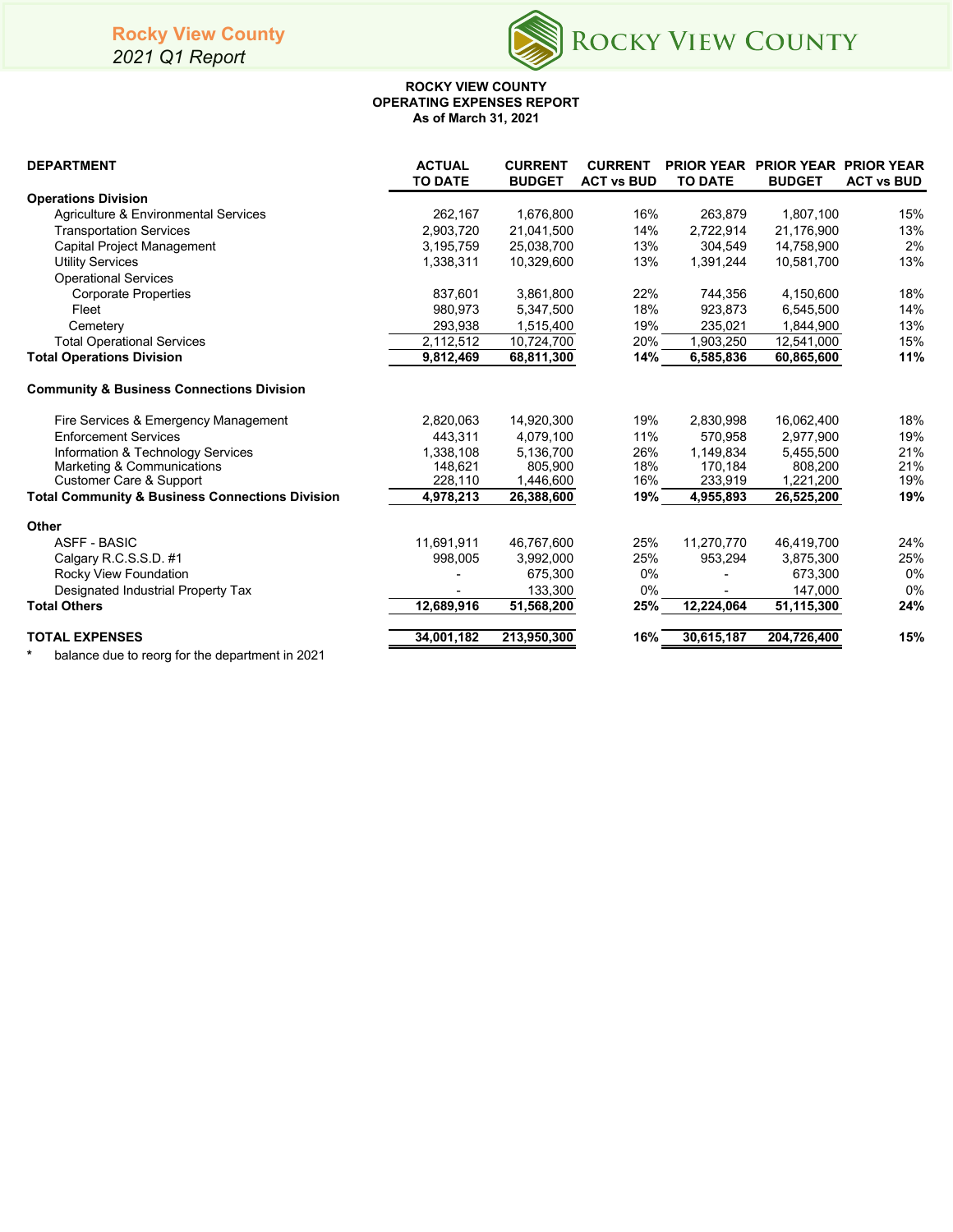# **Rocky View County**

*2021 Q1 Report*



#### **ROCKY VIEW COUNTY OPERATING EXPENSES REPORT As of March 31, 2021**

| <b>DEPARTMENT</b>                                          | <b>ACTUAL</b><br><b>TO DATE</b> | <b>CURRENT</b><br><b>BUDGET</b> | <b>CURRENT</b><br><b>ACT vs BUD</b> | <b>TO DATE</b>          | <b>PRIOR YEAR PRIOR YEAR PRIOR YEAR</b><br><b>BUDGET</b> | <b>ACT vs BUD</b> |
|------------------------------------------------------------|---------------------------------|---------------------------------|-------------------------------------|-------------------------|----------------------------------------------------------|-------------------|
| <b>Operations Division</b>                                 |                                 |                                 |                                     |                         |                                                          |                   |
| Agriculture & Environmental Services                       | 262,167                         | 1,676,800                       | 16%                                 | 263,879                 | 1,807,100                                                | 15%               |
| <b>Transportation Services</b>                             | 2,903,720                       | 21,041,500                      | 14%                                 | 2,722,914               | 21,176,900                                               | 13%               |
| <b>Capital Project Management</b>                          | 3,195,759                       | 25,038,700                      | 13%                                 | 304,549                 | 14,758,900                                               | 2%                |
| <b>Utility Services</b>                                    | 1,338,311                       | 10,329,600                      | 13%                                 | 1,391,244               | 10.581.700                                               | 13%               |
| <b>Operational Services</b>                                |                                 |                                 |                                     |                         |                                                          |                   |
| <b>Corporate Properties</b>                                | 837,601                         | 3,861,800                       | 22%                                 | 744,356                 | 4,150,600                                                | 18%               |
| Fleet                                                      | 980,973                         | 5,347,500                       | 18%                                 | 923,873                 | 6,545,500                                                | 14%               |
| Cemetery                                                   | 293,938                         | 1,515,400                       | 19%                                 | 235,021                 | 1,844,900                                                | 13%               |
| <b>Total Operational Services</b>                          | 2,112,512                       | 10,724,700                      | 20%                                 | 1,903,250               | 12,541,000                                               | 15%               |
| <b>Total Operations Division</b>                           | 9,812,469                       | 68,811,300                      | 14%                                 | 6,585,836               | 60,865,600                                               | 11%               |
| <b>Community &amp; Business Connections Division</b>       |                                 |                                 |                                     |                         |                                                          |                   |
| Fire Services & Emergency Management                       | 2,820,063                       | 14,920,300                      | 19%                                 | 2,830,998               | 16,062,400                                               | 18%               |
| <b>Enforcement Services</b>                                | 443.311                         | 4,079,100                       | 11%                                 | 570,958                 | 2,977,900                                                | 19%               |
| Information & Technology Services                          | 1,338,108                       | 5,136,700                       | 26%                                 | 1,149,834               | 5,455,500                                                | 21%               |
| Marketing & Communications                                 | 148,621                         | 805,900                         | 18%                                 | 170,184                 | 808,200                                                  | 21%               |
| Customer Care & Support                                    | 228,110                         | 1,446,600                       | 16%                                 | 233,919                 | 1,221,200                                                | 19%               |
| <b>Total Community &amp; Business Connections Division</b> | 4,978,213                       | 26,388,600                      | 19%                                 | 4,955,893               | 26,525,200                                               | 19%               |
| Other                                                      |                                 |                                 |                                     |                         |                                                          |                   |
| <b>ASFF - BASIC</b>                                        | 11,691,911                      | 46,767,600                      | 25%                                 | 11.270.770              | 46,419,700                                               | 24%               |
| Calgary R.C.S.S.D. #1                                      | 998.005                         | 3,992,000                       | 25%                                 | 953,294                 | 3,875,300                                                | 25%               |
| Rocky View Foundation                                      |                                 | 675,300                         | $0\%$                               |                         | 673,300                                                  | 0%                |
| Designated Industrial Property Tax                         |                                 | 133,300                         | 0%                                  |                         | 147,000                                                  | 0%                |
| <b>Total Others</b>                                        | 12,689,916                      | 51,568,200                      | 25%                                 | $\overline{12,}224,064$ | 51,115,300                                               | 24%               |
| <b>TOTAL EXPENSES</b>                                      | 34,001,182                      | 213,950,300                     | 16%                                 | 30,615,187              | 204,726,400                                              | 15%               |

**\*** balance due to reorg for the department in 2021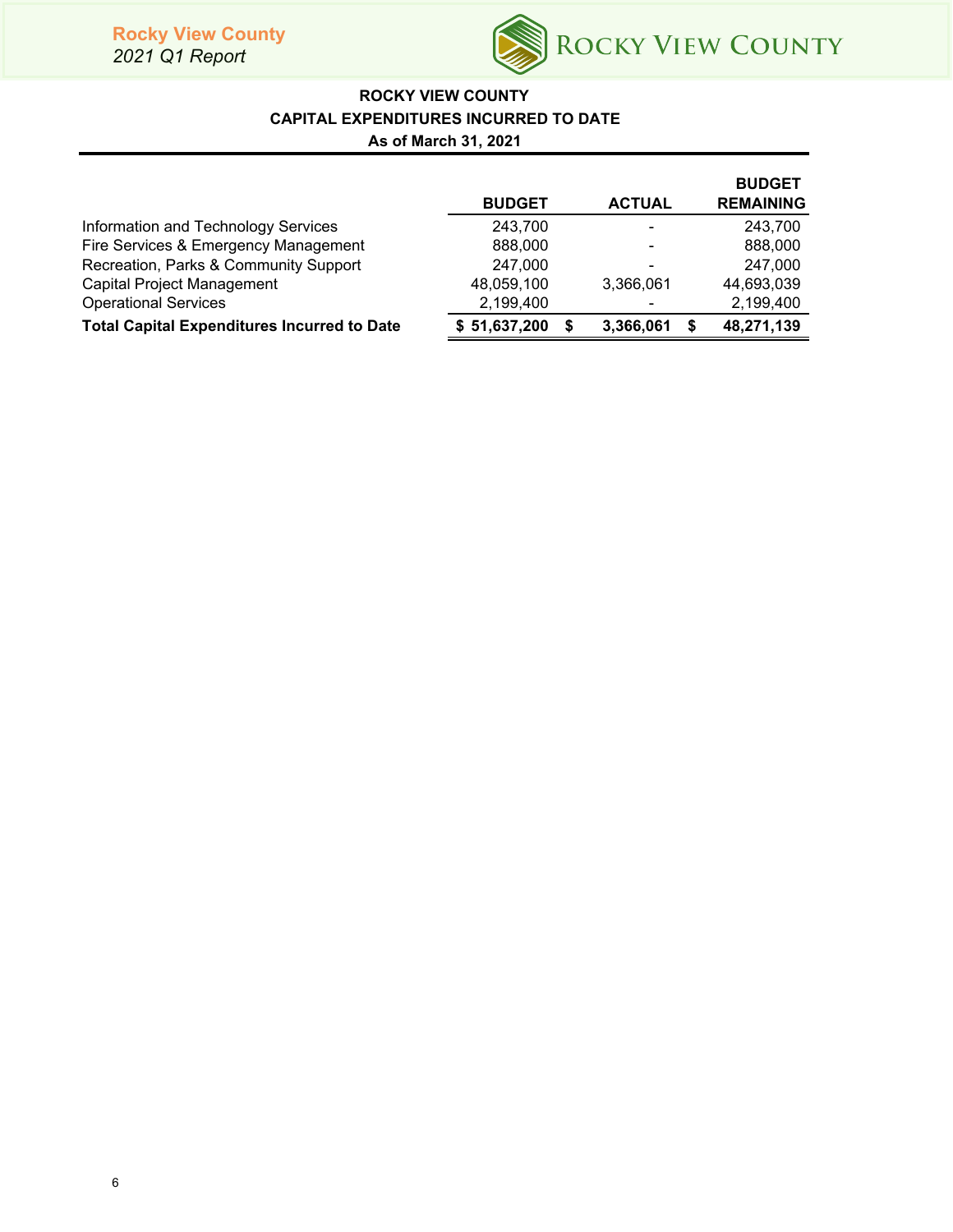

# **ROCKY VIEW COUNTY CAPITAL EXPENDITURES INCURRED TO DATE As of March 31, 2021**

|                                                    | <b>BUDGET</b>     | <b>ACTUAL</b>  | <b>BUDGET</b><br><b>REMAINING</b> |
|----------------------------------------------------|-------------------|----------------|-----------------------------------|
| Information and Technology Services                | 243,700           | $\blacksquare$ | 243,700                           |
| Fire Services & Emergency Management               | 888,000           | $\blacksquare$ | 888,000                           |
| Recreation, Parks & Community Support              | 247.000           | $\blacksquare$ | 247.000                           |
| Capital Project Management                         | 48,059,100        | 3,366,061      | 44,693,039                        |
| <b>Operational Services</b>                        | 2,199,400         | $\blacksquare$ | 2,199,400                         |
| <b>Total Capital Expenditures Incurred to Date</b> | \$51,637,200<br>S | 3,366,061      | 48,271,139                        |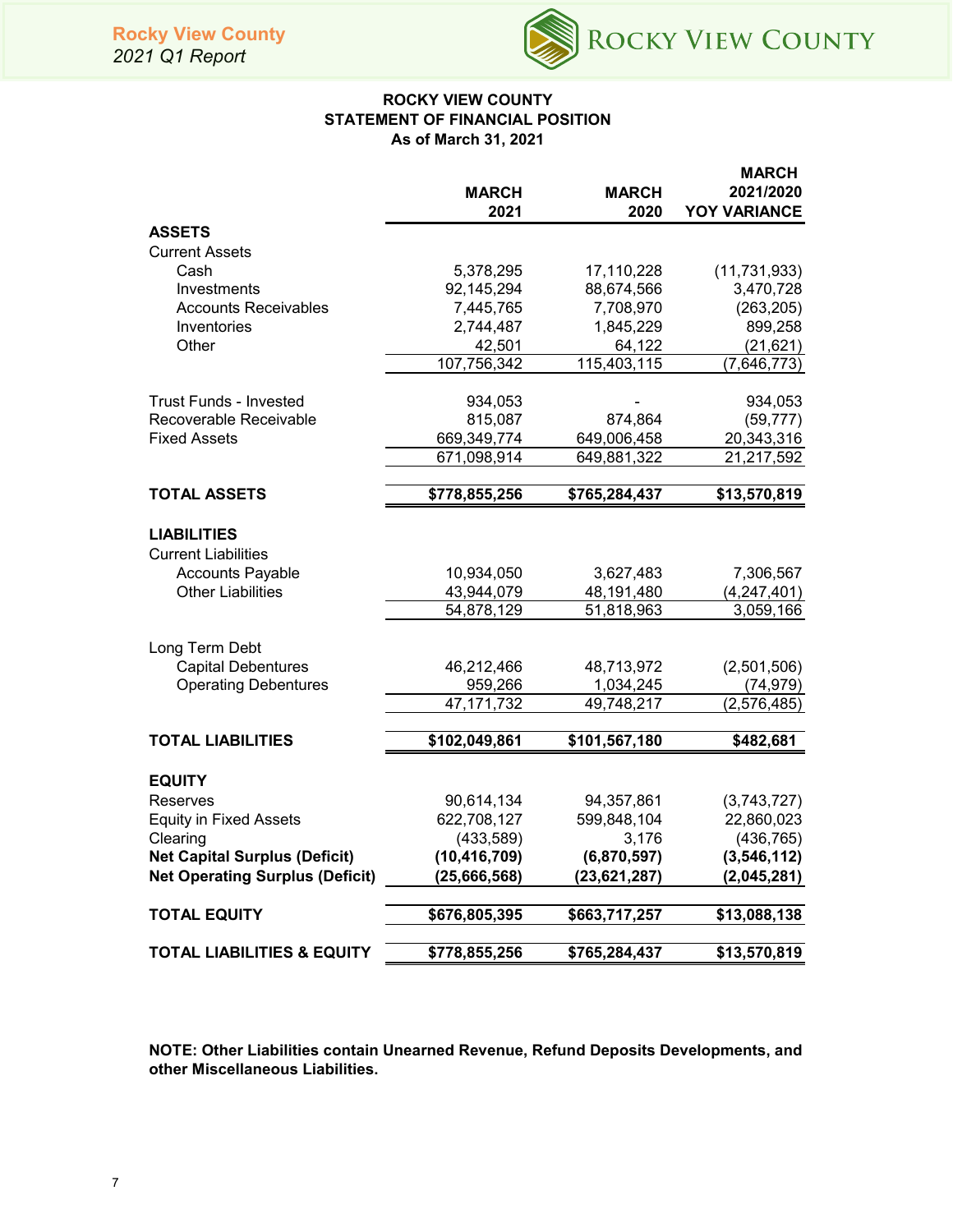

## **ROCKY VIEW COUNTY STATEMENT OF FINANCIAL POSITION As of March 31, 2021**

|                                                  | MARCH<br>2021            | <b>MARCH</b><br>2020 | <b>MARCH</b><br>2021/2020<br><b>YOY VARIANCE</b> |
|--------------------------------------------------|--------------------------|----------------------|--------------------------------------------------|
| <b>ASSETS</b>                                    |                          |                      |                                                  |
| <b>Current Assets</b>                            |                          |                      |                                                  |
| Cash                                             | 5,378,295                | 17,110,228           | (11, 731, 933)                                   |
| Investments                                      | 92,145,294               | 88,674,566           | 3,470,728                                        |
| <b>Accounts Receivables</b>                      | 7,445,765                | 7,708,970            | (263, 205)                                       |
| Inventories                                      | 2,744,487                | 1,845,229            | 899,258                                          |
| Other                                            | 42,501                   | 64,122               | (21, 621)                                        |
|                                                  | 107,756,342              | 115,403,115          | (7,646,773)                                      |
| <b>Trust Funds - Invested</b>                    | 934,053                  |                      | 934,053                                          |
| Recoverable Receivable                           | 815,087                  | 874,864              | (59, 777)                                        |
| <b>Fixed Assets</b>                              | 669,349,774              | 649,006,458          | 20,343,316                                       |
|                                                  | 671,098,914              | 649,881,322          | 21,217,592                                       |
| <b>TOTAL ASSETS</b>                              | \$778,855,256            | \$765,284,437        | \$13,570,819                                     |
|                                                  |                          |                      |                                                  |
| <b>LIABILITIES</b><br><b>Current Liabilities</b> |                          |                      |                                                  |
| <b>Accounts Payable</b>                          | 10,934,050               | 3,627,483            | 7,306,567                                        |
| <b>Other Liabilities</b>                         | 43,944,079               | 48,191,480           | (4, 247, 401)                                    |
|                                                  | 54,878,129               | 51,818,963           | 3,059,166                                        |
|                                                  |                          |                      |                                                  |
| Long Term Debt                                   |                          |                      |                                                  |
| <b>Capital Debentures</b>                        | 46,212,466               | 48,713,972           | (2,501,506)                                      |
| <b>Operating Debentures</b>                      | 959,266                  | 1,034,245            | (74, 979)                                        |
|                                                  | 47, 171, 732             | 49,748,217           | (2,576,485)                                      |
| <b>TOTAL LIABILITIES</b>                         | \$102,049,861            | \$101,567,180        | \$482,681                                        |
|                                                  |                          |                      |                                                  |
| <b>EQUITY</b>                                    |                          |                      |                                                  |
| <b>Reserves</b>                                  | 90,614,134               | 94,357,861           | (3,743,727)                                      |
| <b>Equity in Fixed Assets</b><br>Clearing        | 622,708,127<br>(433,589) | 599,848,104<br>3,176 | 22,860,023<br>(436, 765)                         |
| <b>Net Capital Surplus (Deficit)</b>             | (10, 416, 709)           | (6,870,597)          | (3,546,112)                                      |
| <b>Net Operating Surplus (Deficit)</b>           | (25,666,568)             | (23, 621, 287)       | (2,045,281)                                      |
|                                                  |                          |                      |                                                  |
| <b>TOTAL EQUITY</b>                              | \$676,805,395            | \$663,717,257        | \$13,088,138                                     |
| <b>TOTAL LIABILITIES &amp; EQUITY</b>            | \$778,855,256            | \$765,284,437        | \$13,570,819                                     |

**NOTE: Other Liabilities contain Unearned Revenue, Refund Deposits Developments, and other Miscellaneous Liabilities.**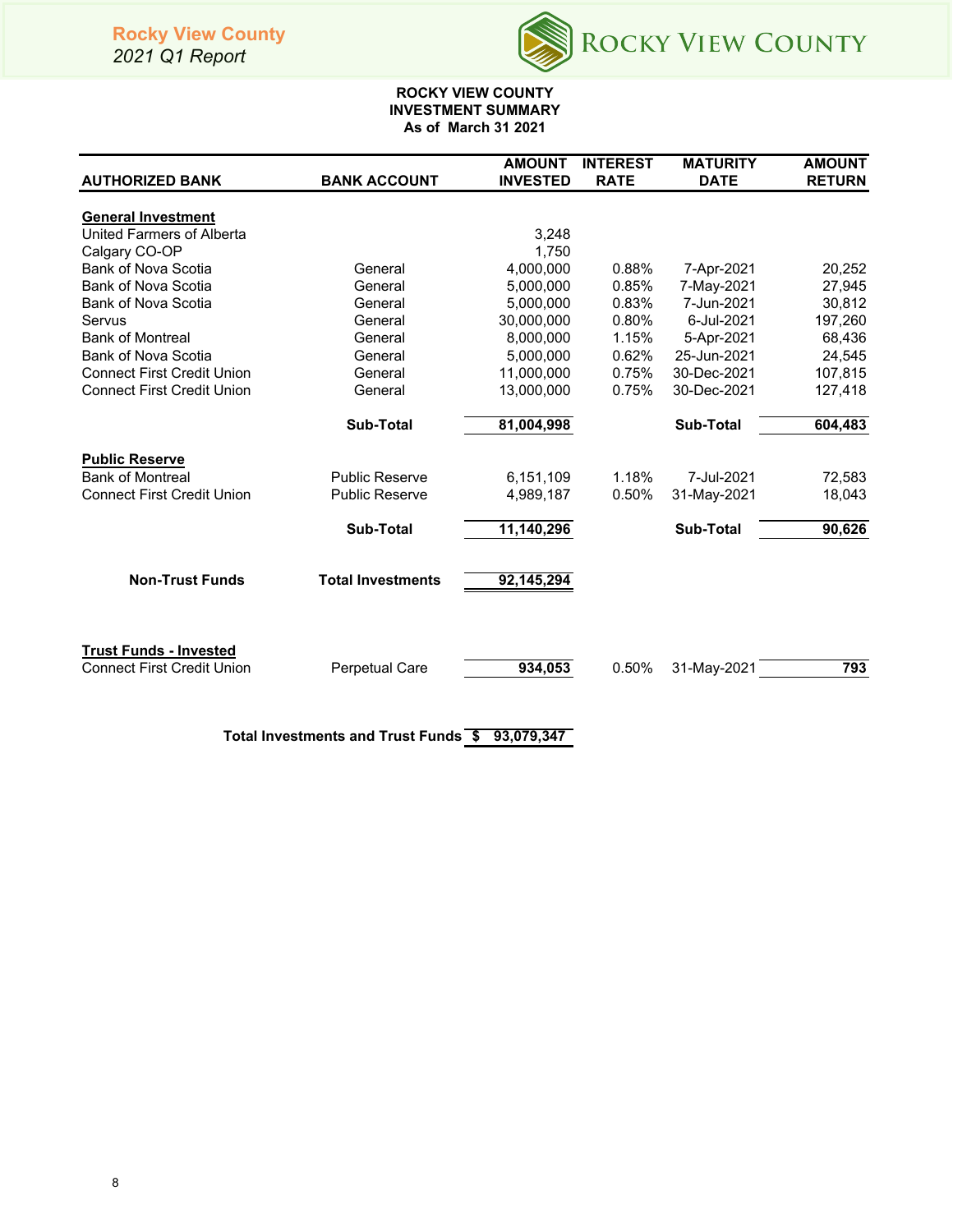# **Rocky View County**

*2021 Q1 Report*



## **ROCKY VIEW COUNTY INVESTMENT SUMMARY As of March 31 2021**

|                                   |                          | <b>AMOUNT</b>   | <b>INTEREST</b> | <b>MATURITY</b>  | <b>AMOUNT</b> |
|-----------------------------------|--------------------------|-----------------|-----------------|------------------|---------------|
| <b>AUTHORIZED BANK</b>            | <b>BANK ACCOUNT</b>      | <b>INVESTED</b> | <b>RATE</b>     | <b>DATE</b>      | <b>RETURN</b> |
| <b>General Investment</b>         |                          |                 |                 |                  |               |
| United Farmers of Alberta         |                          | 3,248           |                 |                  |               |
| Calgary CO-OP                     |                          | 1,750           |                 |                  |               |
| <b>Bank of Nova Scotia</b>        | General                  | 4,000,000       | 0.88%           | 7-Apr-2021       | 20,252        |
| Bank of Nova Scotia               | General                  | 5,000,000       | 0.85%           | 7-May-2021       | 27,945        |
| <b>Bank of Nova Scotia</b>        | General                  | 5,000,000       | 0.83%           | 7-Jun-2021       | 30,812        |
| Servus                            | General                  | 30,000,000      | 0.80%           | 6-Jul-2021       | 197,260       |
| <b>Bank of Montreal</b>           | General                  | 8,000,000       | 1.15%           | 5-Apr-2021       | 68,436        |
| Bank of Nova Scotia               | General                  | 5,000,000       | 0.62%           | 25-Jun-2021      | 24,545        |
| <b>Connect First Credit Union</b> | General                  | 11,000,000      | 0.75%           | 30-Dec-2021      | 107,815       |
| <b>Connect First Credit Union</b> | General                  | 13,000,000      | 0.75%           | 30-Dec-2021      | 127,418       |
|                                   |                          |                 |                 |                  |               |
|                                   | <b>Sub-Total</b>         | 81,004,998      |                 | <b>Sub-Total</b> | 604,483       |
| <b>Public Reserve</b>             |                          |                 |                 |                  |               |
| <b>Bank of Montreal</b>           | <b>Public Reserve</b>    | 6,151,109       | 1.18%           | 7-Jul-2021       | 72,583        |
| <b>Connect First Credit Union</b> | <b>Public Reserve</b>    | 4,989,187       | 0.50%           | 31-May-2021      | 18,043        |
|                                   |                          |                 |                 |                  |               |
|                                   | <b>Sub-Total</b>         | 11,140,296      |                 | <b>Sub-Total</b> | 90,626        |
|                                   |                          |                 |                 |                  |               |
| <b>Non-Trust Funds</b>            | <b>Total Investments</b> | 92,145,294      |                 |                  |               |
|                                   |                          |                 |                 |                  |               |
|                                   |                          |                 |                 |                  |               |
| <b>Trust Funds - Invested</b>     |                          |                 |                 |                  |               |
| <b>Connect First Credit Union</b> | <b>Perpetual Care</b>    | 934,053         | 0.50%           | 31-May-2021      | 793           |
|                                   |                          |                 |                 |                  |               |
|                                   |                          |                 |                 |                  |               |
|                                   |                          |                 |                 |                  |               |

**Total Investments and Trust Funds \$ 93,079,347**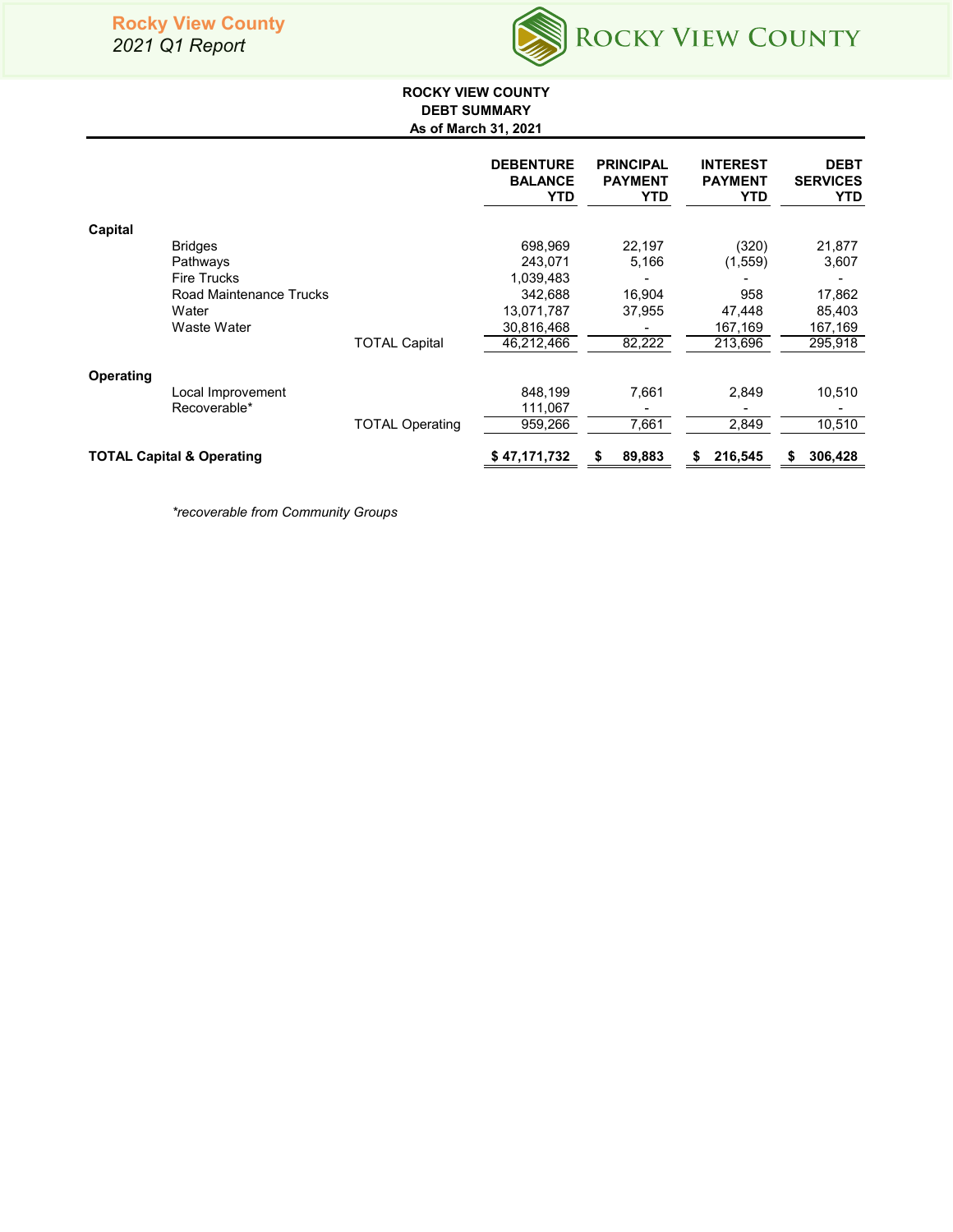

## **ROCKY VIEW COUNTY DEBT SUMMARY As of March 31, 2021**

|           |                                      |                        | <b>DEBENTURE</b><br><b>BALANCE</b><br><b>YTD</b> | <b>PRINCIPAL</b><br><b>PAYMENT</b><br>YTD | <b>INTEREST</b><br><b>PAYMENT</b><br>YTD | <b>DEBT</b><br><b>SERVICES</b><br><b>YTD</b> |
|-----------|--------------------------------------|------------------------|--------------------------------------------------|-------------------------------------------|------------------------------------------|----------------------------------------------|
| Capital   |                                      |                        |                                                  |                                           |                                          |                                              |
|           | <b>Bridges</b>                       |                        | 698,969                                          | 22,197                                    | (320)                                    | 21,877                                       |
|           | Pathways                             |                        | 243.071                                          | 5,166                                     | (1,559)                                  | 3,607                                        |
|           | <b>Fire Trucks</b>                   |                        | 1,039,483                                        |                                           |                                          |                                              |
|           | Road Maintenance Trucks              |                        | 342,688                                          | 16,904                                    | 958                                      | 17,862                                       |
|           | Water                                |                        | 13,071,787                                       | 37,955                                    | 47,448                                   | 85,403                                       |
|           | Waste Water                          |                        | 30,816,468                                       |                                           | 167,169                                  | 167,169                                      |
|           |                                      | <b>TOTAL Capital</b>   | 46.212.466                                       | 82,222                                    | 213.696                                  | 295,918                                      |
| Operating |                                      |                        |                                                  |                                           |                                          |                                              |
|           | Local Improvement                    |                        | 848,199                                          | 7,661                                     | 2,849                                    | 10,510                                       |
|           | Recoverable*                         |                        | 111,067                                          |                                           |                                          |                                              |
|           |                                      | <b>TOTAL Operating</b> | 959,266                                          | 7,661                                     | 2,849                                    | 10,510                                       |
|           | <b>TOTAL Capital &amp; Operating</b> |                        | \$47,171,732                                     | 89,883<br>\$                              | 216,545<br>S                             | 306,428<br>S                                 |

*\*recoverable from Community Groups*